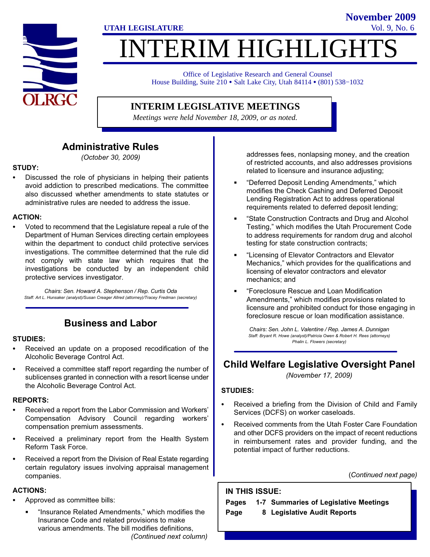

# INTERIM HIGHLIGHTS

Office of Legislative Research and General Counsel Office of Legislative Research and General Counsel<br>House Building, Suite 210 • Salt Lake City, Utah 84114 • (801) 538–1032

#### **INTERIM LEGISLATIVE MEETINGS**

*Meetings were held November 18, 2009, or as noted.*

#### Administrative Rules

(October 30, 2009)

## STUDY: -

 Discussed the role of physicians in helping their patients avoid addiction to prescribed medications. The committee also discussed whether amendments to state statutes or administrative rules are needed to address the issue.

# ACTION:

 Voted to recommend that the Legislature repeal a rule of the Department of Human Services directing certain employees within the department to conduct child protective services investigations. The committee determined that the rule did not comply with state law which requires that the investigations be conducted by an independent child protective services investigator.

Chairs: Sen. Howard A. Stephenson / Rep. Curtis Oda Staff: Art L. Hunsaker (analyst)/Susan Creager Allred (attorney)/Tracey Fredman (secretary)

#### Business and Labor

## STUDIES:<br>-

- Received an update on a proposed recodification of the Alcoholic Beverage Control Act.
- Received a committee staff report regarding the number of sublicenses granted in connection with a resort license under the Alcoholic Beverage Control Act.

## REPORTS: -

- Received a report from the Labor Commission and Workers' Compensation Advisory Council regarding workers' compensation premium assessments.
- Received a preliminary report from the Health System Reform Task Force.
- Received a report from the Division of Real Estate regarding certain regulatory issues involving appraisal management companies.

## ACTIONS: -

- Approved as committee bills:
	- flnsurance Related Amendments," which modifies the Insurance Code and related provisions to make various amendments. The bill modifies definitions, (Continued next column)

addresses fees, nonlapsing money, and the creation of restricted accounts, and also addresses provisions related to licensure and insurance adjusting;

- -Deferred Deposit Lending Amendments," which modifies the Check Cashing and Deferred Deposit Lending Registration Act to address operational requirements related to deferred deposit lending;
- -State Construction Contracts and Drug and Alcohol Testing," which modifies the Utah Procurement Code to address requirements for random drug and alcohol testing for state construction contracts;
- -Licensing of Elevator Contractors and Elevator Mechanics," which provides for the qualifications and licensing of elevator contractors and elevator mechanics; and
- -Foreclosure Rescue and Loan Modification Amendments," which modifies provisions related to licensure and prohibited conduct for those engaging in foreclosure rescue or loan modification assistance.

Chairs: Sen. John L. Valentine / Rep. James A. Dunnigan Staff: Bryant R. Howe (analyst)/Patricia Owen & Robert H. Rees (attorneys) Phalin L. Flowers (secretary)

## Child Welfare Legislative Oversight Panel

(November 17, 2009)

#### STUDIES:

- Received a briefing from the Division of Child and Family Services (DCFS) on worker caseloads.
- Received comments from the Utah Foster Care Foundation and other DCFS providers on the impact of recent reductions in reimbursement rates and provider funding, and the potential impact of further reductions.

(Continued next page)

IN THIS ISSUE:

Pages 1−7 Summaries of Legislative Meetings Page 8 Legislative Audit Reports

**UTAH LEGISLATURE** Vol. 9, No. 6 **November 2009**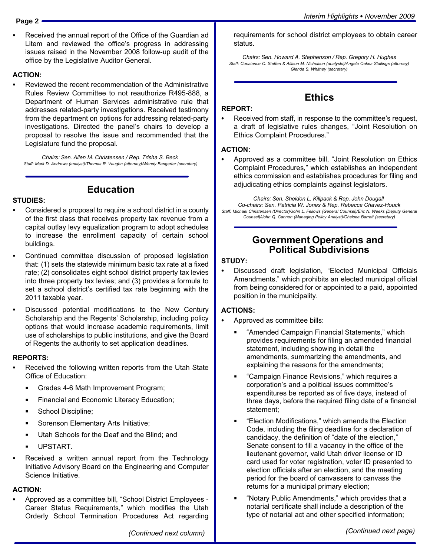- 
- Received the annual report of the Office of the Guardian ad Litem and reviewed the office's progress in addressing issues raised in the November 2008 follow−up audit of the office by the Legislative Auditor General.

## ACTION: -

 Reviewed the recent recommendation of the Administrative Rules Review Committee to not reauthorize R495−888, a Department of Human Services administrative rule that addresses related−party investigations. Received testimony from the department on options for addressing related−party investigations. Directed the panel's chairs to develop a proposal to resolve the issue and recommended that the Legislature fund the proposal.

Chairs: Sen. Allen M. Christensen / Rep. Trisha S. Beck Staff: Mark D. Andrews (analyst)/Thomas R. Vaughn (attorney)/Wendy Bangerter (secretary)

Education

# STUDIES:<br>-

- Considered a proposal to require a school district in a county of the first class that receives property tax revenue from a capital outlay levy equalization program to adopt schedules to increase the enrollment capacity of certain school buildings.
- Continued committee discussion of proposed legislation that: (1) sets the statewide minimum basic tax rate at a fixed rate; (2) consolidates eight school district property tax levies into three property tax levies; and (3) provides a formula to set a school district's certified tax rate beginning with the 2011 taxable year.
- Discussed potential modifications to the New Century Scholarship and the Regents' Scholarship, including policy options that would increase academic requirements, limit use of scholarships to public institutions, and give the Board of Regents the authority to set application deadlines.

## REPORTS: -

- Received the following written reports from the Utah State Office of Education:
	- $\blacksquare$ Grades 4−6 Math Improvement Program;
	- **Financial and Economic Literacy Education;**
	- School Discipline;
	- Sorenson Elementary Arts Initiative;
	- Utah Schools for the Deaf and the Blind; and
	- UPSTART.
- Received a written annual report from the Technology Initiative Advisory Board on the Engineering and Computer Science Initiative.

## ACTION: -

• Approved as a committee bill, "School District Employees -Career Status Requirements," which modifies the Utah Orderly School Termination Procedures Act regarding requirements for school district employees to obtain career status.

Chairs: Sen. Howard A. Stephenson / Rep. Gregory H. Hughes Staff: Constance C. Steffen & Allison M. Nicholson (analysts)/Angela Oakes Stallings (attorney) Glenda S. Whitney (secretary)

## **Ethics**

## REPORT:<br>-

 Received from staff, in response to the committee's request, a draft of legislative rules changes, "Joint Resolution on Ethics Complaint Procedures."

## ACTION: -

• Approved as a committee bill, "Joint Resolution on Ethics Complaint Procedures," which establishes an independent ethics commission and establishes procedures for filing and adjudicating ethics complaints against legislators.

Chairs: Sen. Sheldon L. Killpack & Rep. John Dougall Co−chairs: Sen. Patricia W. Jones & Rep. Rebecca Chavez−Houck Staff: Michael Christensen (Director)/John L. Fellows (General Counsel)/Eric N. Weeks (Deputy General Counsel)/John Q. Cannon (Managing Policy Analyst)/Chelsea Barrett (secretary)

#### Government Operations and Political Subdivisions

## STUDY:<br>--

• Discussed draft legislation, "Elected Municipal Officials Amendments," which prohibits an elected municipal official from being considered for or appointed to a paid, appointed position in the municipality.

## ACTIONS: -

- Approved as committee bills:
	- -Amended Campaign Financial Statements," which provides requirements for filing an amended financial statement, including showing in detail the amendments, summarizing the amendments, and explaining the reasons for the amendments;
	- -Campaign Finance Revisions," which requires a corporation's and a political issues committee's expenditures be reported as of five days, instead of three days, before the required filing date of a financial statement;
	- -Election Modifications," which amends the Election Code, including the filing deadline for a declaration of candidacy, the definition of "date of the election," Senate consent to fill a vacancy in the office of the lieutenant governor, valid Utah driver license or ID card used for voter registration, voter ID presented to election officials after an election, and the meeting period for the board of canvassers to canvass the returns for a municipal primary election;
	- -Notary Public Amendments," which provides that a notarial certificate shall include a description of the type of notarial act and other specified information;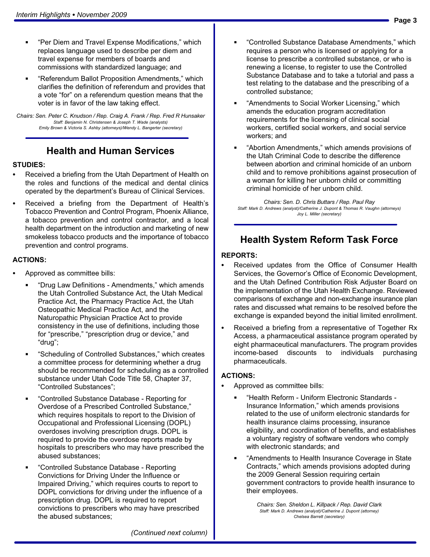- $\blacksquare$  -Per Diem and Travel Expense Modifications," which replaces language used to describe per diem and travel expense for members of boards and commissions with standardized language; and
- -Referendum Ballot Proposition Amendments," which clarifies the definition of referendum and provides that a vote "for" on a referendum question means that the voter is in favor of the law taking effect.

Chairs: Sen. Peter C. Knudson / Rep. Craig A. Frank / Rep. Fred R Hunsaker Staff: Benjamin N. Christensen & Joseph T. Wade (analysts) Emily Brown & Victoria S. Ashby (attorneys)/Wendy L. Bangerter (secretary)

#### Health and Human Services

## STUDIES: -

- Received a briefing from the Utah Department of Health on the roles and functions of the medical and dental clinics operated by the department's Bureau of Clinical Services.
- Received a briefing from the Department of Health's Tobacco Prevention and Control Program, Phoenix Alliance, a tobacco prevention and control contractor, and a local health department on the introduction and marketing of new smokeless tobacco products and the importance of tobacco prevention and control programs.

#### ACTIONS:

- Approved as committee bills:
	- -Drug Law Definitions − Amendments," which amends the Utah Controlled Substance Act, the Utah Medical Practice Act, the Pharmacy Practice Act, the Utah Osteopathic Medical Practice Act, and the Naturopathic Physician Practice Act to provide consistency in the use of definitions, including those for "prescribe," "prescription drug or device," and -drug";
	- $\blacksquare$  -Scheduling of Controlled Substances," which creates a committee process for determining whether a drug should be recommended for scheduling as a controlled substance under Utah Code Title 58, Chapter 37, -Controlled Substances";
	- $\blacksquare$  -Controlled Substance Database − Reporting for Overdose of a Prescribed Controlled Substance," which requires hospitals to report to the Division of Occupational and Professional Licensing (DOPL) overdoses involving prescription drugs. DOPL is required to provide the overdose reports made by hospitals to prescribers who may have prescribed the abused substances;
	- -Controlled Substance Database − Reporting Convictions for Driving Under the Influence or Impaired Driving," which requires courts to report to DOPL convictions for driving under the influence of a prescription drug. DOPL is required to report convictions to prescribers who may have prescribed the abused substances;
- -Controlled Substance Database Amendments," which requires a person who is licensed or applying for a license to prescribe a controlled substance, or who is renewing a license, to register to use the Controlled Substance Database and to take a tutorial and pass a test relating to the database and the prescribing of a controlled substance;
- -Amendments to Social Worker Licensing," which amends the education program accreditation requirements for the licensing of clinical social workers, certified social workers, and social service workers; and
- -Abortion Amendments," which amends provisions of the Utah Criminal Code to describe the difference between abortion and criminal homicide of an unborn child and to remove prohibitions against prosecution of a woman for killing her unborn child or committing criminal homicide of her unborn child.

Chairs: Sen. D. Chris Buttars / Rep. Paul Ray Staff: Mark D. Andrews (analyst)/Catherine J. Dupont & Thomas R. Vaughn (attorneys) Joy L. Miller (secretary)

#### Health System Reform Task Force

## REPORTS:<br>—

- Received updates from the Office of Consumer Health Services, the Governor's Office of Economic Development, and the Utah Defined Contribution Risk Adjuster Board on the implementation of the Utah Health Exchange. Reviewed comparisons of exchange and non−exchange insurance plan rates and discussed what remains to be resolved before the exchange is expanded beyond the initial limited enrollment.
- Received a briefing from a representative of Together Rx Access, a pharmaceutical assistance program operated by eight pharmaceutical manufacturers. The program provides income−based discounts to individuals purchasing pharmaceuticals.

## ACTIONS: -

- Approved as committee bills:
	- -Health Reform − Uniform Electronic Standards − Insurance Information," which amends provisions related to the use of uniform electronic standards for health insurance claims processing, insurance eligibility, and coordination of benefits, and establishes a voluntary registry of software vendors who comply with electronic standards; and
	- -Amendments to Health Insurance Coverage in State Contracts," which amends provisions adopted during the 2009 General Session requiring certain government contractors to provide health insurance to their employees.

Chairs: Sen. Sheldon L. Killpack / Rep. David Clark Staff: Mark D. Andrews (analyst)/Catherine J. Dupont (attorney) Chelsea Barrett (secretary)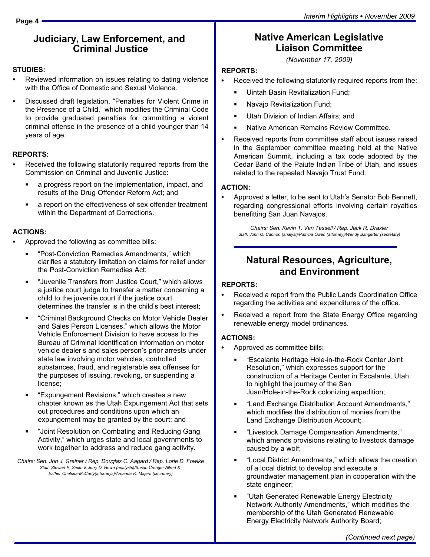#### Judiciary, Law Enforcement, and Criminal Justice

## STUDIES:<br>-

- Reviewed information on issues relating to dating violence with the Office of Domestic and Sexual Violence.
- Discussed draft legislation, "Penalties for Violent Crime in the Presence of a Child," which modifies the Criminal Code to provide graduated penalties for committing a violent criminal offense in the presence of a child younger than 14 years of age.

## REPORTS:<br>—

- Received the following statutorily required reports from the Commission on Criminal and Juvenile Justice:
	- a progress report on the implementation, impact, and results of the Drug Offender Reform Act; and
	- a report on the effectiveness of sex offender treatment within the Department of Corrections.

# ACTIONS: -

- Approved the following as committee bills:
	- "Post-Conviction Remedies Amendments," which clarifies a statutory limitation on claims for relief under the Post−Conviction Remedies Act;
	- -Juvenile Transfers from Justice Court," which allows a justice court judge to transfer a matter concerning a child to the juvenile court if the justice court determines the transfer is in the child's best interest;
	- -Criminal Background Checks on Motor Vehicle Dealer and Sales Person Licenses," which allows the Motor Vehicle Enforcement Division to have access to the Bureau of Criminal Identification information on motor vehicle dealer's and sales person's prior arrests under state law involving motor vehicles, controlled substances, fraud, and registerable sex offenses for the purposes of issuing, revoking, or suspending a license;
	- -Expungement Revisions," which creates a new chapter known as the Utah Expungement Act that sets out procedures and conditions upon which an expungement may be granted by the court; and
	- -Joint Resolution on Combating and Reducing Gang Activity," which urges state and local governments to work together to address and reduce gang activity.

Chairs: Sen. Jon J. Greiner / Rep. Douglas C. Aagard / Rep. Lorie D. Fowlke Staff: Stewart E. Smith & Jerry D. Howe (analysts)/Susan Creager Allred & Esther Chelsea−McCarty(attorneys)/Amanda K. Majers (secretary)

## Native American Legislative Liaison Committee

(November 17, 2009)

# REPORTS: -

- Received the following statutorily required reports from the:
	- Uintah Basin Revitalization Fund;
	- Navajo Revitalization Fund;
	- Utah Division of Indian Affairs; and
	- Native American Remains Review Committee.
- Received reports from committee staff about issues raised in the September committee meeting held at the Native American Summit, including a tax code adopted by the Cedar Band of the Paiute Indian Tribe of Utah, and issues related to the repealed Navajo Trust Fund.

## ACTION: -

 Approved a letter, to be sent to Utah's Senator Bob Bennett, regarding congressional efforts involving certain royalties benefitting San Juan Navajos.

Chairs: Sen. Kevin T. Van Tassell / Rep. Jack R. Draxler Staff: John Q. Cannon (analyst)/Patricia Owen (attorney)/Wendy Bangerter (secretary)

## Natural Resources, Agriculture, and Environment

## REPORTS:<br>—

- Received a report from the Public Lands Coordination Office regarding the activities and expenditures of the office.
- Received a report from the State Energy Office regarding renewable energy model ordinances.

## ACTIONS: -

- Approved as committee bills:
	- -Escalante Heritage Hole−in−the−Rock Center Joint Resolution," which expresses support for the construction of a Heritage Center in Escalante, Utah, to highlight the journey of the San Juan/Hole−in−the−Rock colonizing expedition;
	- -Land Exchange Distribution Account Amendments," which modifies the distribution of monies from the Land Exchange Distribution Account;
	- -Livestock Damage Compensation Amendments," which amends provisions relating to livestock damage caused by a wolf;
	- -Local District Amendments," which allows the creation of a local district to develop and execute a groundwater management plan in cooperation with the state engineer;
	- -Utah Generated Renewable Energy Electricity Network Authority Amendments," which modifies the membership of the Utah Generated Renewable Energy Electricity Network Authority Board;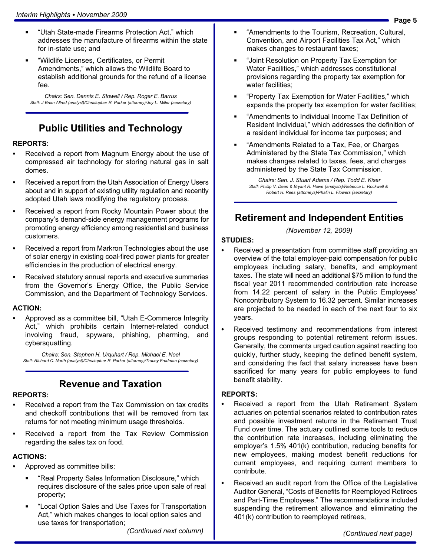- $\blacksquare$  -Utah State−made Firearms Protection Act," which addresses the manufacture of firearms within the state for in−state use; and
- -Wildlife Licenses, Certificates, or Permit Amendments," which allows the Wildlife Board to establish additional grounds for the refund of a license fee.

Chairs: Sen. Dennis E. Stowell / Rep. Roger E. Barrus Staff: J Brian Allred (analyst)/Christopher R. Parker (attorney)/Joy L. Miller (secretary)

## Public Utilities and Technology

## REPORTS:<br>—

- Received a report from Magnum Energy about the use of compressed air technology for storing natural gas in salt domes.
- Received a report from the Utah Association of Energy Users about and in support of existing utility regulation and recently adopted Utah laws modifying the regulatory process.
- Received a report from Rocky Mountain Power about the company´s demand−side energy management programs for promoting energy efficiency among residential and business customers.
- Received a report from Markron Technologies about the use of solar energy in existing coal−fired power plants for greater efficiencies in the production of electrical energy.
- Received statutory annual reports and executive summaries from the Governor´s Energy Office, the Public Service Commission, and the Department of Technology Services.

## ACTION: -

• Approved as a committee bill, "Utah E-Commerce Integrity Act," which prohibits certain Internet−related conduct involving fraud, spyware, phishing, pharming, and cybersquatting.

Chairs: Sen. Stephen H. Urquhart / Rep. Michael E. Noel Staff: Richard C. North (analyst)/Christopher R. Parker (attorney)/Tracey Fredman (secretary)

#### Revenue and Taxation

## REPORTS:<br>—

- Received a report from the Tax Commission on tax credits and checkoff contributions that will be removed from tax returns for not meeting minimum usage thresholds.
- Received a report from the Tax Review Commission regarding the sales tax on food.

## ACTIONS: -

- Approved as committee bills:
	- -Real Property Sales Information Disclosure," which requires disclosure of the sales price upon sale of real property;
	- -Local Option Sales and Use Taxes for Transportation Act," which makes changes to local option sales and use taxes for transportation;

(Continued next column)

- $\blacksquare$  -Amendments to the Tourism, Recreation, Cultural, Convention, and Airport Facilities Tax Act," which makes changes to restaurant taxes;
- -Joint Resolution on Property Tax Exemption for Water Facilities," which addresses constitutional provisions regarding the property tax exemption for water facilities;
- -Property Tax Exemption for Water Facilities," which expands the property tax exemption for water facilities;
- -Amendments to Individual Income Tax Definition of Resident Individual," which addresses the definition of a resident individual for income tax purposes; and
- -Amendments Related to a Tax, Fee, or Charges Administered by the State Tax Commission," which makes changes related to taxes, fees, and charges administered by the State Tax Commission.

Chairs: Sen. J. Stuart Adams / Rep. Todd E. Kiser Staff: Phillip V. Dean & Bryant R. Howe (analysts)/Rebecca L. Rockwell & Robert H. Rees (attorneys)/Phalin L. Flowers (secretary)

#### Retirement and Independent Entities

(November 12, 2009)

# STUDIES:<br>-

- Received a presentation from committee staff providing an overview of the total employer−paid compensation for public employees including salary, benefits, and employment taxes. The state will need an additional \$75 million to fund the fiscal year 2011 recommended contribution rate increase from 14.22 percent of salary in the Public Employees' Noncontributory System to 16.32 percent. Similar increases are projected to be needed in each of the next four to six years.
- Received testimony and recommendations from interest groups responding to potential retirement reform issues. Generally, the comments urged caution against reacting too quickly, further study, keeping the defined benefit system, and considering the fact that salary increases have been sacrificed for many years for public employees to fund benefit stability.

## REPORTS:

- Received a report from the Utah Retirement System actuaries on potential scenarios related to contribution rates and possible investment returns in the Retirement Trust Fund over time. The actuary outlined some tools to reduce the contribution rate increases, including eliminating the employer's 1.5% 401(k) contribution, reducing benefits for new employees, making modest benefit reductions for current employees, and requiring current members to contribute.
- Received an audit report from the Office of the Legislative Auditor General, "Costs of Benefits for Reemployed Retirees and Part−Time Employees." The recommendations included suspending the retirement allowance and eliminating the 401(k) contribution to reemployed retirees,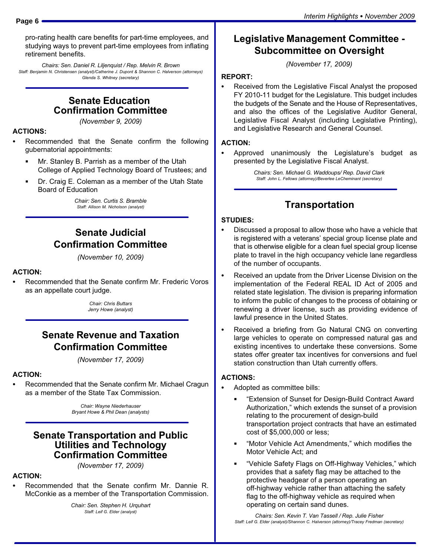pro−rating health care benefits for part−time employees, and studying ways to prevent part−time employees from inflating retirement benefits.

Chairs: Sen. Daniel R. Liljenquist / Rep. Melvin R. Brown Staff: Benjamin N. Christensen (analyst)/Catherine J. Dupont & Shannon C. Halverson (attorneys) Glenda S. Whitney (secretary)

#### Senate Education Confirmation Committee

(November 9, 2009)

## ACTIONS: -

- Recommended that the Senate confirm the following gubernatorial appointments:
	- Ĭ Mr. Stanley B. Parrish as a member of the Utah College of Applied Technology Board of Trustees; and
	- Dr. Craig E. Coleman as a member of the Utah State Board of Education

Chair: Sen. Curtis S. Bramble Staff: Allison M. Nicholson (analyst)

#### Senate Judicial Confirmation Committee

(November 10, 2009)

## ACTION: -

 Recommended that the Senate confirm Mr. Frederic Voros as an appellate court judge.

> Chair: Chris Buttars Jerry Howe (analyst)

#### Senate Revenue and Taxation Confirmation Committee

(November 17, 2009)

## ACTION: -

 Recommended that the Senate confirm Mr. Michael Cragun as a member of the State Tax Commission.

> Chair: Wayne Niederhauser Bryant Howe & Phil Dean (analysts)

#### Senate Transportation and Public Utilities and Technology Confirmation Committee

(November 17, 2009)

## ACTION: -

 Recommended that the Senate confirm Mr. Dannie R. McConkie as a member of the Transportation Commission.

> Chair: Sen. Stephen H. Urquhart Staff: Leif G. Elder (analyst)

#### Legislative Management Committee − Subcommittee on Oversight

(November 17, 2009)

## REPORT:<br>-

 Received from the Legislative Fiscal Analyst the proposed FY 2010−11 budget for the Legislature. This budget includes the budgets of the Senate and the House of Representatives, and also the offices of the Legislative Auditor General, Legislative Fiscal Analyst (including Legislative Printing), and Legislative Research and General Counsel.

## ACTION: -

 Approved unanimously the Legislature's budget as presented by the Legislative Fiscal Analyst.

> Chairs: Sen. Michael G. Waddoups/ Rep. David Clark Staff: John L. Fellows (attorney)/Beverlee LeCheminant (secretary)

#### Transportation

## STUDIES:<br>--

- Discussed a proposal to allow those who have a vehicle that is registered with a veterans' special group license plate and that is otherwise eligible for a clean fuel special group license plate to travel in the high occupancy vehicle lane regardless of the number of occupants.
- Received an update from the Driver License Division on the implementation of the Federal REAL ID Act of 2005 and related state legislation. The division is preparing information to inform the public of changes to the process of obtaining or renewing a driver license, such as providing evidence of lawful presence in the United States.
- Received a briefing from Go Natural CNG on converting large vehicles to operate on compressed natural gas and existing incentives to undertake these conversions. Some states offer greater tax incentives for conversions and fuel station construction than Utah currently offers.

## ACTIONS: -

- Adopted as committee bills:
	- -Extension of Sunset for Design−Build Contract Award Authorization," which extends the sunset of a provision relating to the procurement of design−build transportation project contracts that have an estimated cost of \$5,000,000 or less;
	- -Motor Vehicle Act Amendments," which modifies the Motor Vehicle Act; and
	- -Vehicle Safety Flags on Off−Highway Vehicles," which provides that a safety flag may be attached to the protective headgear of a person operating an off−highway vehicle rather than attaching the safety flag to the off−highway vehicle as required when operating on certain sand dunes.

Chairs: Sen. Kevin T. Van Tassell / Rep. Julie Fisher Staff: Leif G. Elder (analyst)/Shannon C. Halverson (attorney)/Tracey Fredman (secretary)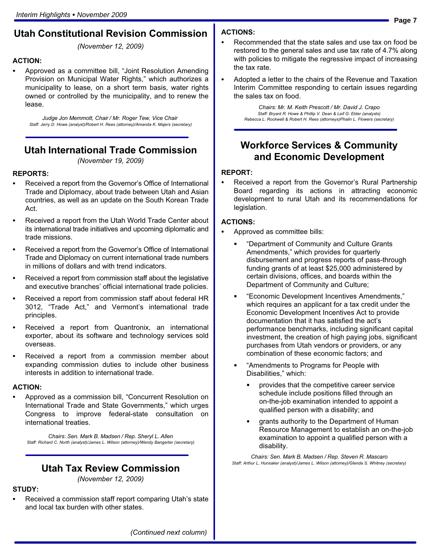#### Utah Constitutional Revision Commission

(November 12, 2009)

## ACTION: -

• Approved as a committee bill, "Joint Resolution Amending Provision on Municipal Water Rights," which authorizes a municipality to lease, on a short term basis, water rights owned or controlled by the municipality, and to renew the lease.

Judge Jon Memmott, Chair / Mr. Roger Tew, Vice Chair Staff: Jerry D. Howe (analyst)/Robert H. Rees (attorney)/Amanda K. Majers (secretary)

#### Utah International Trade Commission

(November 19, 2009)

#### REPORTS:<br>—

- Received a report from the Governor's Office of International Trade and Diplomacy, about trade between Utah and Asian countries, as well as an update on the South Korean Trade Act.
- Received a report from the Utah World Trade Center about its international trade initiatives and upcoming diplomatic and trade missions.
- Received a report from the Governor´s Office of International Trade and Diplomacy on current international trade numbers in millions of dollars and with trend indicators.
- Received a report from commission staff about the legislative and executive branches' official international trade policies.
- Received a report from commission staff about federal HR 3012, "Trade Act," and Vermont's international trade principles.
- Received a report from Quantronix, an international exporter, about its software and technology services sold overseas.
- Received a report from a commission member about expanding commission duties to include other business interests in addition to international trade.

## ACTION: -

• Approved as a commission bill, "Concurrent Resolution on International Trade and State Governments," which urges Congress to improve federal−state consultation on international treaties.

Chairs: Sen. Mark B. Madsen / Rep. Sheryl L. Allen Staff: Richard C. North (analyst)/James L. Wilson (attorney)/Wendy Bangerter (secretary)

#### Utah Tax Review Commission

(November 12, 2009)

#### STUDY: -

 Received a commission staff report comparing Utah's state and local tax burden with other states.

## ACTIONS: -

- Recommended that the state sales and use tax on food be restored to the general sales and use tax rate of 4.7% along with policies to mitigate the regressive impact of increasing the tax rate.
- $\bullet$  Adopted a letter to the chairs of the Revenue and Taxation Interim Committee responding to certain issues regarding the sales tax on food.

Chairs: Mr. M. Keith Prescott / Mr. David J. Crapo Staff: Bryant R. Howe & Phillip V. Dean & Leif G. Elder (analysts) Rebecca L. Rockwell & Robert H. Rees (attorneys)Phalin L. Flowers (secretary)

#### Workforce Services & Community and Economic Development

## REPORT: -

 Received a report from the Governor's Rural Partnership Board regarding its actions in attracting economic development to rural Utah and its recommendations for legislation.

## ACTIONS: -

- Approved as committee bills:
	- -Department of Community and Culture Grants Amendments," which provides for quarterly disbursement and progress reports of pass−through funding grants of at least \$25,000 administered by certain divisions, offices, and boards within the Department of Community and Culture;
	- -Economic Development Incentives Amendments," which requires an applicant for a tax credit under the Economic Development Incentives Act to provide documentation that it has satisfied the act's performance benchmarks, including significant capital investment, the creation of high paying jobs, significant purchases from Utah vendors or providers, or any combination of these economic factors; and
	- -Amendments to Programs for People with Disabilities," which:
		- provides that the competitive career service schedule include positions filled through an on−the−job examination intended to appoint a qualified person with a disability; and
		- grants authority to the Department of Human Resource Management to establish an on−the−job examination to appoint a qualified person with a disability.

Chairs: Sen. Mark B. Madsen / Rep. Steven R. Mascaro Staff: Arthur L. Hunsaker (analyst)/James L. Wilson (attorney)/Glenda S. Whitney (secretary)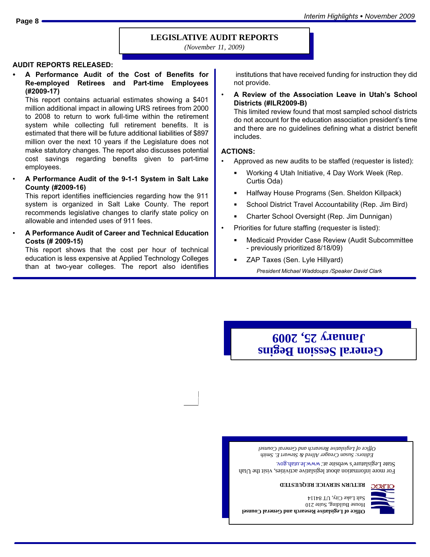Interim Highlights - *November 2009* **Page 8**

#### **LEGISLATIVE AUDIT REPORTS**

*(November 11, 2009)*

## AUDIT REPORTS RELEASED: -

 A Performance Audit of the Cost of Benefits for Re−employed Retirees and Part−time Employees (#2009−17)

This report contains actuarial estimates showing a \$401 million additional impact in allowing URS retirees from 2000 to 2008 to return to work full−time within the retirement system while collecting full retirement benefits. It is estimated that there will be future additional liabilities of \$897 million over the next 10 years if the Legislature does not make statutory changes. The report also discusses potential cost savings regarding benefits given to part−time employees.

¯ A Performance Audit of the 9−1−1 System in Salt Lake County (#2009−16)

This report identifies inefficiencies regarding how the 911 system is organized in Salt Lake County. The report recommends legislative changes to clarify state policy on allowable and intended uses of 911 fees.

A Performance Audit of Career and Technical Education Costs (# 2009−15)

This report shows that the cost per hour of technical education is less expensive at Applied Technology Colleges than at two−year colleges. The report also identifies

 institutions that have received funding for instruction they did not provide.

¯ A Review of the Association Leave in Utah´s School Districts (#ILR2009−B)

This limited review found that most sampled school districts do not account for the education association president´s time and there are no guidelines defining what a district benefit includes.

#### ACTIONS:

- Approved as new audits to be staffed (requester is listed):
	- Working 4 Utah Initiative, 4 Day Work Week (Rep. Curtis Oda)
	- Halfway House Programs (Sen. Sheldon Killpack)
	- School District Travel Accountability (Rep. Jim Bird)
	- Charter School Oversight (Rep. Jim Dunnigan)
- Priorities for future staffing (requester is listed):
	- Medicaid Provider Case Review (Audit Subcommittee − previously prioritized 8/18/09)
	- ZAP Taxes (Sen. Lyle Hillyard)

President Michael Waddoups /Speaker David Clark

# **General Session Begins January 25, 2009**

*Editors: Susan Creager Allred & Stewart E. Smith Office of Legislative Research and General Counsel*

For more information about legislative activities, visit the Utah State Legislature's website at: www.le.utah.gov.

**RETURN SERVICE REQUESTED**

**Office of Legislative Research and General Counsel** House Building, Suite 210 Salt Lake City, UT 84114

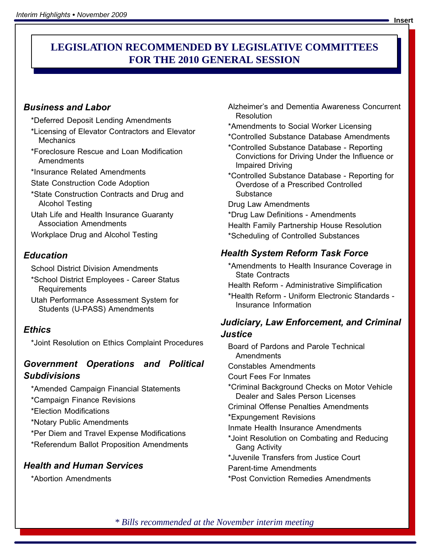#### **RECOMMENDED LEGISLATION FOR THE 2007 GENERAL SESSION LEGISLATION RECOMMENDED BY LEGISLATIVE COMMITTEES FOR THE 2010 GENERAL SESSION**

#### Business and Labor

- \*Deferred Deposit Lending Amendments
- \*Licensing of Elevator Contractors and Elevator **Mechanics**
- \*Foreclosure Rescue and Loan Modification Amendments
- \*Insurance Related Amendments
- State Construction Code Adoption
- \*State Construction Contracts and Drug and Alcohol Testing
- Utah Life and Health Insurance Guaranty Association Amendments
- Workplace Drug and Alcohol Testing

#### **Education**

School District Division Amendments

- \*School District Employees − Career Status Requirements
- Utah Performance Assessment System for Students (U−PASS) Amendments

#### **Ethics**

\*Joint Resolution on Ethics Complaint Procedures

#### Government Operations and Political Subdivisions

\*Amended Campaign Financial Statements

\*Campaign Finance Revisions

\*Election Modifications

\*Notary Public Amendments

\*Per Diem and Travel Expense Modifications

\*Referendum Ballot Proposition Amendments

#### Health and Human Services

\*Abortion Amendments

- Alzheimer's and Dementia Awareness Concurrent Resolution
- \*Amendments to Social Worker Licensing
- \*Controlled Substance Database Amendments
- \*Controlled Substance Database − Reporting Convictions for Driving Under the Influence or Impaired Driving
- \*Controlled Substance Database − Reporting for Overdose of a Prescribed Controlled **Substance**

Drug Law Amendments

\*Drug Law Definitions − Amendments

Health Family Partnership House Resolution \*Scheduling of Controlled Substances

#### Health System Reform Task Force

\*Amendments to Health Insurance Coverage in State Contracts

Health Reform - Administrative Simplification

\*Health Reform − Uniform Electronic Standards − Insurance Information

#### Judiciary, Law Enforcement, and Criminal Justice

Board of Pardons and Parole Technical Amendments

Constables Amendments

Court Fees For Inmates

\*Criminal Background Checks on Motor Vehicle Dealer and Sales Person Licenses

Criminal Offense Penalties Amendments

\*Expungement Revisions

Inmate Health Insurance Amendments

- \*Joint Resolution on Combating and Reducing Gang Activity
- \*Juvenile Transfers from Justice Court

Parent−time Amendments

\*Post Conviction Remedies Amendments

*\* Bills recommended at the November interim meeting*